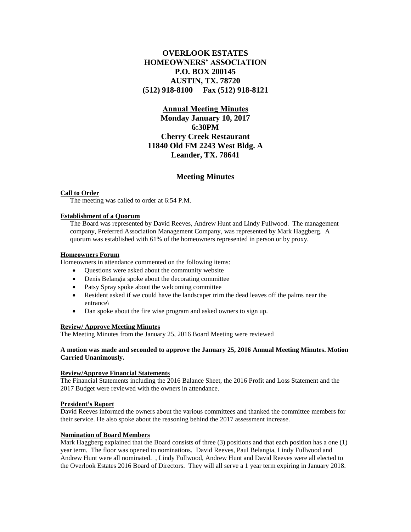# **OVERLOOK ESTATES HOMEOWNERS' ASSOCIATION P.O. BOX 200145 AUSTIN, TX. 78720 (512) 918-8100 Fax (512) 918-8121**

## **Annual Meeting Minutes**

**Monday January 10, 2017 6:30PM Cherry Creek Restaurant 11840 Old FM 2243 West Bldg. A Leander, TX. 78641**

## **Meeting Minutes**

#### **Call to Order**

The meeting was called to order at 6:54 P.M.

#### **Establishment of a Quorum**

The Board was represented by David Reeves, Andrew Hunt and Lindy Fullwood. The management company, Preferred Association Management Company, was represented by Mark Haggberg. A quorum was established with 61% of the homeowners represented in person or by proxy.

#### **Homeowners Forum**

Homeowners in attendance commented on the following items:

- Ouestions were asked about the community website
- Denis Belangia spoke about the decorating committee
- Patsy Spray spoke about the welcoming committee
- Resident asked if we could have the landscaper trim the dead leaves off the palms near the entrance\
- Dan spoke about the fire wise program and asked owners to sign up.

#### **Review/ Approve Meeting Minutes**

The Meeting Minutes from the January 25, 2016 Board Meeting were reviewed

#### **A motion was made and seconded to approve the January 25, 2016 Annual Meeting Minutes. Motion Carried Unanimously.**

#### **Review/Approve Financial Statements**

The Financial Statements including the 2016 Balance Sheet, the 2016 Profit and Loss Statement and the 2017 Budget were reviewed with the owners in attendance.

#### **President's Report**

David Reeves informed the owners about the various committees and thanked the committee members for their service. He also spoke about the reasoning behind the 2017 assessment increase.

#### **Nomination of Board Members**

Mark Haggberg explained that the Board consists of three (3) positions and that each position has a one (1) year term. The floor was opened to nominations. David Reeves, Paul Belangia, Lindy Fullwood and Andrew Hunt were all nominated. , Lindy Fullwood, Andrew Hunt and David Reeves were all elected to the Overlook Estates 2016 Board of Directors. They will all serve a 1 year term expiring in January 2018.